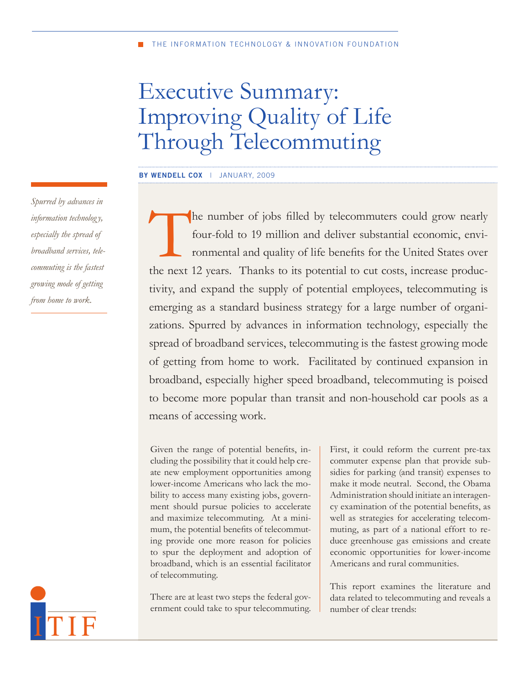# Executive Summary: Improving Quality of Life Through Telecommuting

**by wendell cox** | January, 2009

he number of jobs filled by telecommuters could grow nearly four-fold to 19 million and deliver substantial economic, environmental and quality of life benefits for the United States over the next 12 years. Thanks to its potential to cut costs, increase productivity, and expand the supply of potential employees, telecommuting is emerging as a standard business strategy for a large number of organizations. Spurred by advances in information technology, especially the spread of broadband services, telecommuting is the fastest growing mode of getting from home to work. Facilitated by continued expansion in broadband, especially higher speed broadband, telecommuting is poised to become more popular than transit and non-household car pools as a means of accessing work.

Given the range of potential benefits, including the possibility that it could help create new employment opportunities among lower-income Americans who lack the mobility to access many existing jobs, government should pursue policies to accelerate and maximize telecommuting. At a minimum, the potential benefits of telecommuting provide one more reason for policies to spur the deployment and adoption of broadband, which is an essential facilitator of telecommuting.

There are at least two steps the federal government could take to spur telecommuting.

First, it could reform the current pre-tax commuter expense plan that provide subsidies for parking (and transit) expenses to make it mode neutral. Second, the Obama Administration should initiate an interagency examination of the potential benefits, as well as strategies for accelerating telecommuting, as part of a national effort to reduce greenhouse gas emissions and create economic opportunities for lower-income Americans and rural communities.

This report examines the literature and data related to telecommuting and reveals a number of clear trends:

*Spurred by advances in information technolog y, especially the spread of broadband services, telecommuting is the fastest growing mode of getting from home to work.* 

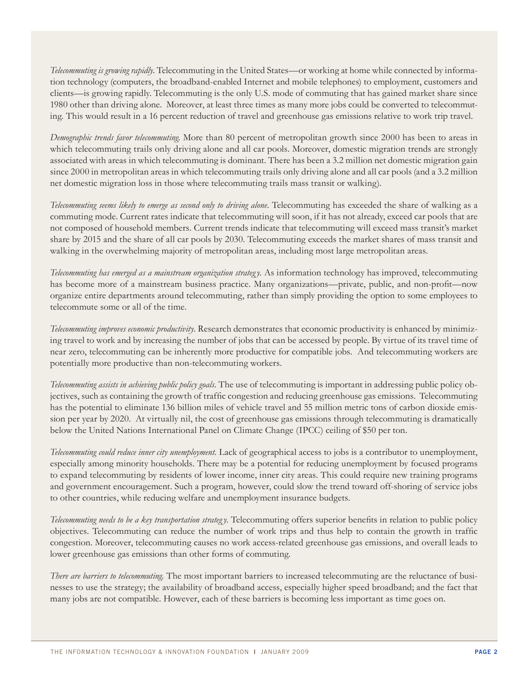*Telecommuting is growing rapidly*. Telecommuting in the United States—or working at home while connected by information technology (computers, the broadband-enabled Internet and mobile telephones) to employment, customers and clients—is growing rapidly. Telecommuting is the only U.S. mode of commuting that has gained market share since 1980 other than driving alone. Moreover, at least three times as many more jobs could be converted to telecommuting. This would result in a 16 percent reduction of travel and greenhouse gas emissions relative to work trip travel.

*Demographic trends favor telecommuting.* More than 80 percent of metropolitan growth since 2000 has been to areas in which telecommuting trails only driving alone and all car pools. Moreover, domestic migration trends are strongly associated with areas in which telecommuting is dominant. There has been a 3.2 million net domestic migration gain since 2000 in metropolitan areas in which telecommuting trails only driving alone and all car pools (and a 3.2 million net domestic migration loss in those where telecommuting trails mass transit or walking).

*Telecommuting seems likely to emerge as second only to driving alone.* Telecommuting has exceeded the share of walking as a commuting mode. Current rates indicate that telecommuting will soon, if it has not already, exceed car pools that are not composed of household members. Current trends indicate that telecommuting will exceed mass transit's market share by 2015 and the share of all car pools by 2030. Telecommuting exceeds the market shares of mass transit and walking in the overwhelming majority of metropolitan areas, including most large metropolitan areas.

*Telecommuting has emerged as a mainstream organization strategy*. As information technology has improved, telecommuting has become more of a mainstream business practice. Many organizations—private, public, and non-profit—now organize entire departments around telecommuting, rather than simply providing the option to some employees to telecommute some or all of the time.

*Telecommuting improves economic productivity.* Research demonstrates that economic productivity is enhanced by minimizing travel to work and by increasing the number of jobs that can be accessed by people. By virtue of its travel time of near zero, telecommuting can be inherently more productive for compatible jobs. And telecommuting workers are potentially more productive than non-telecommuting workers.

*Telecommuting assists in achieving public policy goals.* The use of telecommuting is important in addressing public policy objectives, such as containing the growth of traffic congestion and reducing greenhouse gas emissions. Telecommuting has the potential to eliminate 136 billion miles of vehicle travel and 55 million metric tons of carbon dioxide emission per year by 2020. At virtually nil, the cost of greenhouse gas emissions through telecommuting is dramatically below the United Nations International Panel on Climate Change (IPCC) ceiling of \$50 per ton.

*Telecommuting could reduce inner city unemployment.* Lack of geographical access to jobs is a contributor to unemployment, especially among minority households. There may be a potential for reducing unemployment by focused programs to expand telecommuting by residents of lower income, inner city areas. This could require new training programs and government encouragement. Such a program, however, could slow the trend toward off-shoring of service jobs to other countries, while reducing welfare and unemployment insurance budgets.

*Telecommuting needs to be a key transportation strategy.* Telecommuting offers superior benefits in relation to public policy objectives. Telecommuting can reduce the number of work trips and thus help to contain the growth in traffic congestion. Moreover, telecommuting causes no work access-related greenhouse gas emissions, and overall leads to lower greenhouse gas emissions than other forms of commuting.

*There are barriers to telecommuting.* The most important barriers to increased telecommuting are the reluctance of businesses to use the strategy; the availability of broadband access, especially higher speed broadband; and the fact that many jobs are not compatible. However, each of these barriers is becoming less important as time goes on.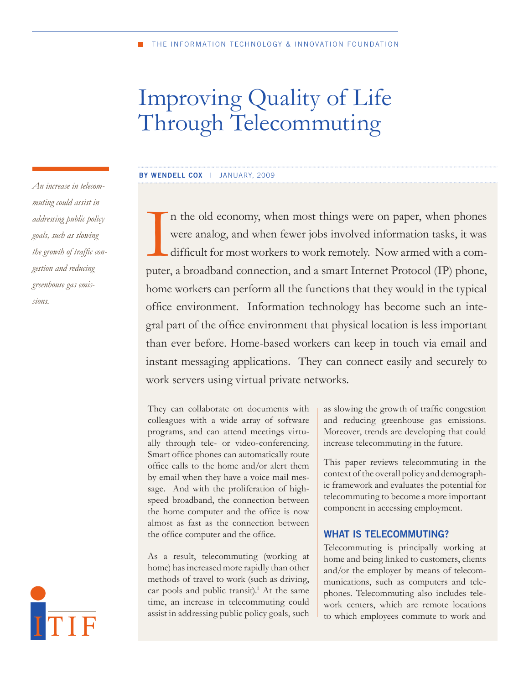# Improving Quality of Life Through Telecommuting

#### **by wendell cox** | January, 2009

In the old economy, when most things were on paper, when phones were analog, and when fewer jobs involved information tasks, it was difficult for most workers to work remotely. Now armed with a computer, a broadband connec n the old economy, when most things were on paper, when phones were analog, and when fewer jobs involved information tasks, it was difficult for most workers to work remotely. Now armed with a comhome workers can perform all the functions that they would in the typical office environment. Information technology has become such an integral part of the office environment that physical location is less important than ever before. Home-based workers can keep in touch via email and instant messaging applications. They can connect easily and securely to work servers using virtual private networks.

They can collaborate on documents with colleagues with a wide array of software programs, and can attend meetings virtually through tele- or video-conferencing. Smart office phones can automatically route office calls to the home and/or alert them by email when they have a voice mail message. And with the proliferation of highspeed broadband, the connection between the home computer and the office is now almost as fast as the connection between the office computer and the office.

As a result, telecommuting (working at home) has increased more rapidly than other methods of travel to work (such as driving, car pools and public transit).<sup>1</sup> At the same time, an increase in telecommuting could assist in addressing public policy goals, such

as slowing the growth of traffic congestion and reducing greenhouse gas emissions. Moreover, trends are developing that could increase telecommuting in the future.

This paper reviews telecommuting in the context of the overall policy and demographic framework and evaluates the potential for telecommuting to become a more important component in accessing employment.

#### **WHAT IS TELECOMMUTING?**

Telecommuting is principally working at home and being linked to customers, clients and/or the employer by means of telecommunications, such as computers and telephones. Telecommuting also includes telework centers, which are remote locations to which employees commute to work and

*An increase in telecommuting could assist in addressing public policy goals, such as slowing the growth of traffic congestion and reducing greenhouse gas emissions.* 

ITIF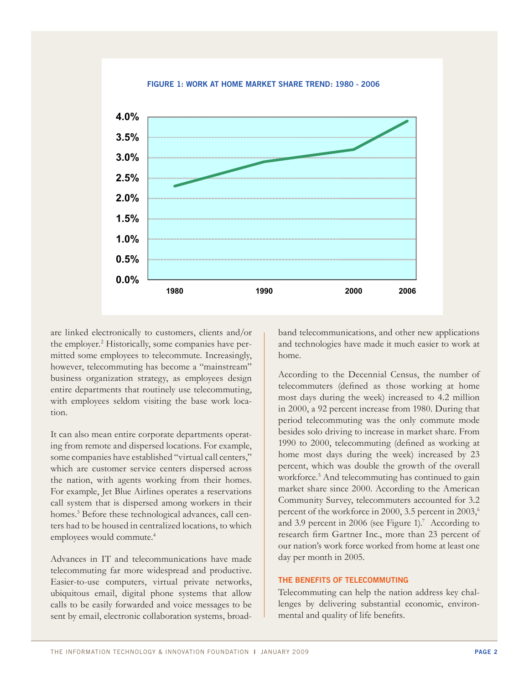

# Work at Home Market Share Trend **Figure 1: Work at Home Market Share Trend: 1980 - 2006**

are linked electronically to customers, clients and/or the employer.<sup>2</sup> Historically, some companies have permitted some employees to telecommute. Increasingly, however, telecommuting has become a "mainstream" business organization strategy, as employees design entire departments that routinely use telecommuting, with employees seldom visiting the base work location.

It can also mean entire corporate departments operating from remote and dispersed locations. For example, some companies have established "virtual call centers," which are customer service centers dispersed across the nation, with agents working from their homes. For example, Jet Blue Airlines operates a reservations call system that is dispersed among workers in their homes.3 Before these technological advances, call centers had to be housed in centralized locations, to which employees would commute.<sup>4</sup>

Advances in IT and telecommunications have made telecommuting far more widespread and productive. Easier-to-use computers, virtual private networks, ubiquitous email, digital phone systems that allow calls to be easily forwarded and voice messages to be sent by email, electronic collaboration systems, broad-

band telecommunications, and other new applications and technologies have made it much easier to work at home.

According to the Decennial Census, the number of telecommuters (defined as those working at home most days during the week) increased to 4.2 million in 2000, a 92 percent increase from 1980. During that period telecommuting was the only commute mode besides solo driving to increase in market share. From 1990 to 2000, telecommuting (defined as working at home most days during the week) increased by 23 percent, which was double the growth of the overall workforce.<sup>5</sup> And telecommuting has continued to gain market share since 2000. According to the American Community Survey, telecommuters accounted for 3.2 percent of the workforce in 2000, 3.5 percent in 2003,<sup>6</sup> and 3.9 percent in 2006 (see Figure 1).<sup>7</sup> According to research firm Gartner Inc., more than 23 percent of our nation's work force worked from home at least one day per month in 2005.

#### **THE BENEFITS OF TELECOMMUTING**

Telecommuting can help the nation address key challenges by delivering substantial economic, environmental and quality of life benefits.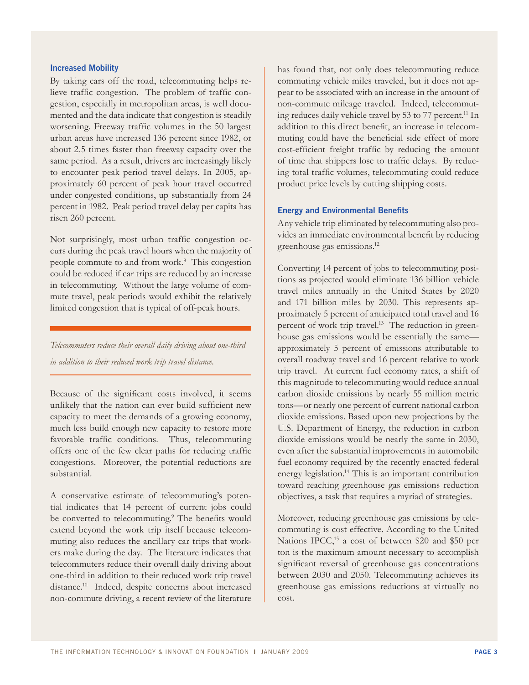#### **Increased Mobility**

By taking cars off the road, telecommuting helps relieve traffic congestion. The problem of traffic congestion, especially in metropolitan areas, is well documented and the data indicate that congestion is steadily worsening. Freeway traffic volumes in the 50 largest urban areas have increased 136 percent since 1982, or about 2.5 times faster than freeway capacity over the same period. As a result, drivers are increasingly likely to encounter peak period travel delays. In 2005, approximately 60 percent of peak hour travel occurred under congested conditions, up substantially from 24 percent in 1982. Peak period travel delay per capita has risen 260 percent.

Not surprisingly, most urban traffic congestion occurs during the peak travel hours when the majority of people commute to and from work.<sup>8</sup> This congestion could be reduced if car trips are reduced by an increase in telecommuting. Without the large volume of commute travel, peak periods would exhibit the relatively limited congestion that is typical of off-peak hours.

*Telecommuters reduce their overall daily driving about one-third in addition to their reduced work trip travel distance.* 

Because of the significant costs involved, it seems unlikely that the nation can ever build sufficient new capacity to meet the demands of a growing economy, much less build enough new capacity to restore more favorable traffic conditions. Thus, telecommuting offers one of the few clear paths for reducing traffic congestions. Moreover, the potential reductions are substantial.

A conservative estimate of telecommuting's potential indicates that 14 percent of current jobs could be converted to telecommuting.<sup>9</sup> The benefits would extend beyond the work trip itself because telecommuting also reduces the ancillary car trips that workers make during the day. The literature indicates that telecommuters reduce their overall daily driving about one-third in addition to their reduced work trip travel distance.10 Indeed, despite concerns about increased non-commute driving, a recent review of the literature

has found that, not only does telecommuting reduce commuting vehicle miles traveled, but it does not appear to be associated with an increase in the amount of non-commute mileage traveled. Indeed, telecommuting reduces daily vehicle travel by 53 to 77 percent.<sup>11</sup> In addition to this direct benefit, an increase in telecommuting could have the beneficial side effect of more cost-efficient freight traffic by reducing the amount of time that shippers lose to traffic delays. By reducing total traffic volumes, telecommuting could reduce product price levels by cutting shipping costs.

#### **Energy and Environmental Benefits**

Any vehicle trip eliminated by telecommuting also provides an immediate environmental benefit by reducing greenhouse gas emissions.12

Converting 14 percent of jobs to telecommuting positions as projected would eliminate 136 billion vehicle travel miles annually in the United States by 2020 and 171 billion miles by 2030. This represents approximately 5 percent of anticipated total travel and 16 percent of work trip travel.<sup>13</sup> The reduction in greenhouse gas emissions would be essentially the same approximately 5 percent of emissions attributable to overall roadway travel and 16 percent relative to work trip travel. At current fuel economy rates, a shift of this magnitude to telecommuting would reduce annual carbon dioxide emissions by nearly 55 million metric tons—or nearly one percent of current national carbon dioxide emissions. Based upon new projections by the U.S. Department of Energy, the reduction in carbon dioxide emissions would be nearly the same in 2030, even after the substantial improvements in automobile fuel economy required by the recently enacted federal energy legislation.<sup>14</sup> This is an important contribution toward reaching greenhouse gas emissions reduction objectives, a task that requires a myriad of strategies.

Moreover, reducing greenhouse gas emissions by telecommuting is cost effective. According to the United Nations IPCC,<sup>15</sup> a cost of between \$20 and \$50 per ton is the maximum amount necessary to accomplish significant reversal of greenhouse gas concentrations between 2030 and 2050. Telecommuting achieves its greenhouse gas emissions reductions at virtually no cost.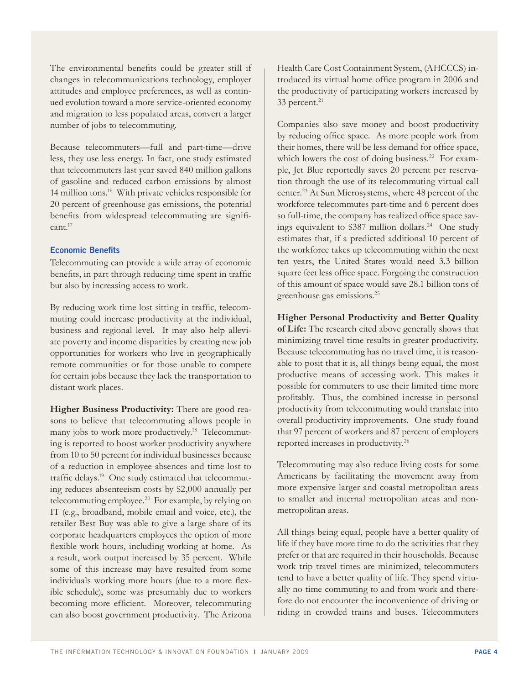The environmental benefits could be greater still if changes in telecommunications technology, employer attitudes and employee preferences, as well as continued evolution toward a more service-oriented economy and migration to less populated areas, convert a larger number of jobs to telecommuting.

Because telecommuters—full and part-time—drive less, they use less energy. In fact, one study estimated that telecommuters last year saved 840 million gallons of gasoline and reduced carbon emissions by almost 14 million tons.16 With private vehicles responsible for 20 percent of greenhouse gas emissions, the potential benefits from widespread telecommuting are signifi- $\text{cant}^{17}$ 

#### **Economic Benefits**

Telecommuting can provide a wide array of economic benefits, in part through reducing time spent in traffic but also by increasing access to work.

By reducing work time lost sitting in traffic, telecommuting could increase productivity at the individual, business and regional level. It may also help alleviate poverty and income disparities by creating new job opportunities for workers who live in geographically remote communities or for those unable to compete for certain jobs because they lack the transportation to distant work places.

**Higher Business Productivity:** There are good reasons to believe that telecommuting allows people in many jobs to work more productively.<sup>18</sup> Telecommuting is reported to boost worker productivity anywhere from 10 to 50 percent for individual businesses because of a reduction in employee absences and time lost to traffic delays.19 One study estimated that telecommuting reduces absenteeism costs by \$2,000 annually per telecommuting employee.<sup>20</sup> For example, by relying on IT (e.g., broadband, mobile email and voice, etc.), the retailer Best Buy was able to give a large share of its corporate headquarters employees the option of more flexible work hours, including working at home. As a result, work output increased by 35 percent. While some of this increase may have resulted from some individuals working more hours (due to a more flexible schedule), some was presumably due to workers becoming more efficient. Moreover, telecommuting can also boost government productivity. The Arizona

Health Care Cost Containment System, (AHCCCS) introduced its virtual home office program in 2006 and the productivity of participating workers increased by  $33$  percent.<sup>21</sup>

Companies also save money and boost productivity by reducing office space. As more people work from their homes, there will be less demand for office space, which lowers the cost of doing business.<sup>22</sup> For example, Jet Blue reportedly saves 20 percent per reservation through the use of its telecommuting virtual call center.23 At Sun Microsystems, where 48 percent of the workforce telecommutes part-time and 6 percent does so full-time, the company has realized office space savings equivalent to  $$387$  million dollars.<sup>24</sup> One study estimates that, if a predicted additional 10 percent of the workforce takes up telecommuting within the next ten years, the United States would need 3.3 billion square feet less office space. Forgoing the construction of this amount of space would save 28.1 billion tons of greenhouse gas emissions.25

**Higher Personal Productivity and Better Quality of Life:** The research cited above generally shows that minimizing travel time results in greater productivity. Because telecommuting has no travel time, it is reasonable to posit that it is, all things being equal, the most productive means of accessing work. This makes it possible for commuters to use their limited time more profitably. Thus, the combined increase in personal productivity from telecommuting would translate into overall productivity improvements. One study found that 97 percent of workers and 87 percent of employers reported increases in productivity.26

Telecommuting may also reduce living costs for some Americans by facilitating the movement away from more expensive larger and coastal metropolitan areas to smaller and internal metropolitan areas and nonmetropolitan areas.

All things being equal, people have a better quality of life if they have more time to do the activities that they prefer or that are required in their households. Because work trip travel times are minimized, telecommuters tend to have a better quality of life. They spend virtually no time commuting to and from work and therefore do not encounter the inconvenience of driving or riding in crowded trains and buses. Telecommuters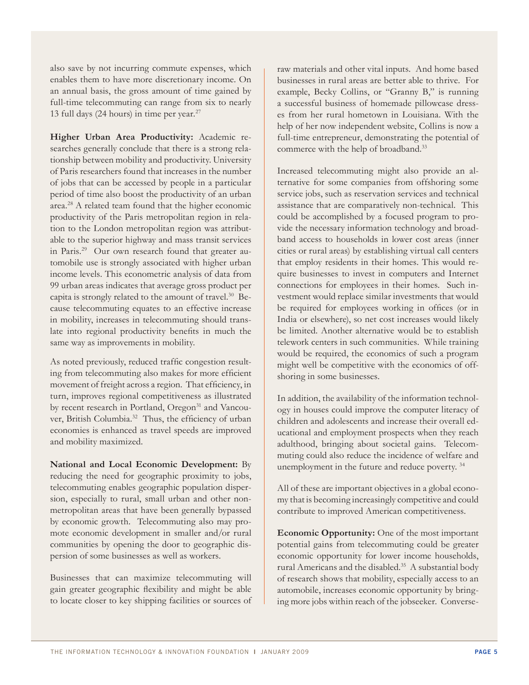also save by not incurring commute expenses, which enables them to have more discretionary income. On an annual basis, the gross amount of time gained by full-time telecommuting can range from six to nearly 13 full days (24 hours) in time per year. $27$ 

**Higher Urban Area Productivity:** Academic researches generally conclude that there is a strong relationship between mobility and productivity. University of Paris researchers found that increases in the number of jobs that can be accessed by people in a particular period of time also boost the productivity of an urban area.28 A related team found that the higher economic productivity of the Paris metropolitan region in relation to the London metropolitan region was attributable to the superior highway and mass transit services in Paris.<sup>29</sup> Our own research found that greater automobile use is strongly associated with higher urban income levels. This econometric analysis of data from 99 urban areas indicates that average gross product per capita is strongly related to the amount of travel.30 Because telecommuting equates to an effective increase in mobility, increases in telecommuting should translate into regional productivity benefits in much the same way as improvements in mobility.

As noted previously, reduced traffic congestion resulting from telecommuting also makes for more efficient movement of freight across a region. That efficiency, in turn, improves regional competitiveness as illustrated by recent research in Portland, Oregon<sup>31</sup> and Vancouver, British Columbia.<sup>32</sup> Thus, the efficiency of urban economies is enhanced as travel speeds are improved and mobility maximized.

**National and Local Economic Development:** By reducing the need for geographic proximity to jobs, telecommuting enables geographic population dispersion, especially to rural, small urban and other nonmetropolitan areas that have been generally bypassed by economic growth. Telecommuting also may promote economic development in smaller and/or rural communities by opening the door to geographic dispersion of some businesses as well as workers.

Businesses that can maximize telecommuting will gain greater geographic flexibility and might be able to locate closer to key shipping facilities or sources of

raw materials and other vital inputs. And home based businesses in rural areas are better able to thrive. For example, Becky Collins, or "Granny B," is running a successful business of homemade pillowcase dresses from her rural hometown in Louisiana. With the help of her now independent website, Collins is now a full-time entrepreneur, demonstrating the potential of commerce with the help of broadband.<sup>33</sup>

Increased telecommuting might also provide an alternative for some companies from offshoring some service jobs, such as reservation services and technical assistance that are comparatively non-technical. This could be accomplished by a focused program to provide the necessary information technology and broadband access to households in lower cost areas (inner cities or rural areas) by establishing virtual call centers that employ residents in their homes. This would require businesses to invest in computers and Internet connections for employees in their homes. Such investment would replace similar investments that would be required for employees working in offices (or in India or elsewhere), so net cost increases would likely be limited. Another alternative would be to establish telework centers in such communities. While training would be required, the economics of such a program might well be competitive with the economics of offshoring in some businesses.

In addition, the availability of the information technology in houses could improve the computer literacy of children and adolescents and increase their overall educational and employment prospects when they reach adulthood, bringing about societal gains. Telecommuting could also reduce the incidence of welfare and unemployment in the future and reduce poverty. 34

All of these are important objectives in a global economy that is becoming increasingly competitive and could contribute to improved American competitiveness.

**Economic Opportunity:** One of the most important potential gains from telecommuting could be greater economic opportunity for lower income households, rural Americans and the disabled.35 A substantial body of research shows that mobility, especially access to an automobile, increases economic opportunity by bringing more jobs within reach of the jobseeker. Converse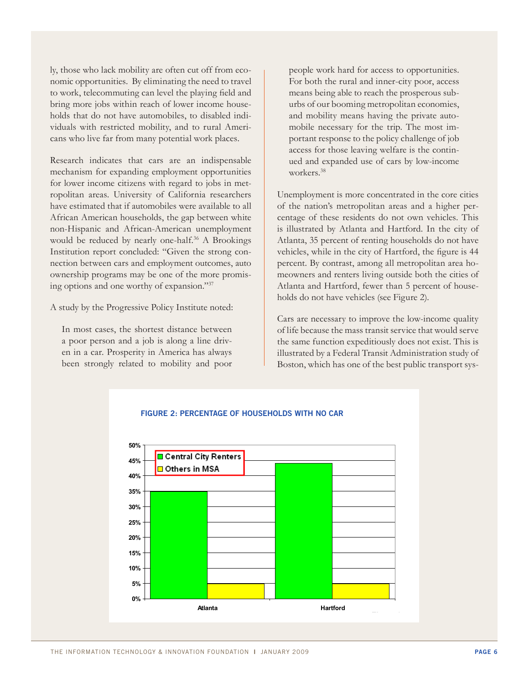ly, those who lack mobility are often cut off from economic opportunities. By eliminating the need to travel to work, telecommuting can level the playing field and bring more jobs within reach of lower income households that do not have automobiles, to disabled individuals with restricted mobility, and to rural Americans who live far from many potential work places.

Research indicates that cars are an indispensable mechanism for expanding employment opportunities for lower income citizens with regard to jobs in metropolitan areas. University of California researchers have estimated that if automobiles were available to all African American households, the gap between white non-Hispanic and African-American unemployment would be reduced by nearly one-half.<sup>36</sup> A Brookings Institution report concluded: "Given the strong connection between cars and employment outcomes, auto ownership programs may be one of the more promising options and one worthy of expansion."37

A study by the Progressive Policy Institute noted:

In most cases, the shortest distance between a poor person and a job is along a line driven in a car. Prosperity in America has always been strongly related to mobility and poor

people work hard for access to opportunities. For both the rural and inner-city poor, access means being able to reach the prosperous suburbs of our booming metropolitan economies, and mobility means having the private automobile necessary for the trip. The most important response to the policy challenge of job access for those leaving welfare is the continued and expanded use of cars by low-income workers.38

Unemployment is more concentrated in the core cities of the nation's metropolitan areas and a higher percentage of these residents do not own vehicles. This is illustrated by Atlanta and Hartford. In the city of Atlanta, 35 percent of renting households do not have vehicles, while in the city of Hartford, the figure is 44 percent. By contrast, among all metropolitan area homeowners and renters living outside both the cities of Atlanta and Hartford, fewer than 5 percent of households do not have vehicles (see Figure 2).

Cars are necessary to improve the low-income quality of life because the mass transit service that would serve the same function expeditiously does not exist. This is illustrated by a Federal Transit Administration study of Boston, which has one of the best public transport sys-



# Percentage of Households with No Car **Figure 2: Percentage of Households with No Car**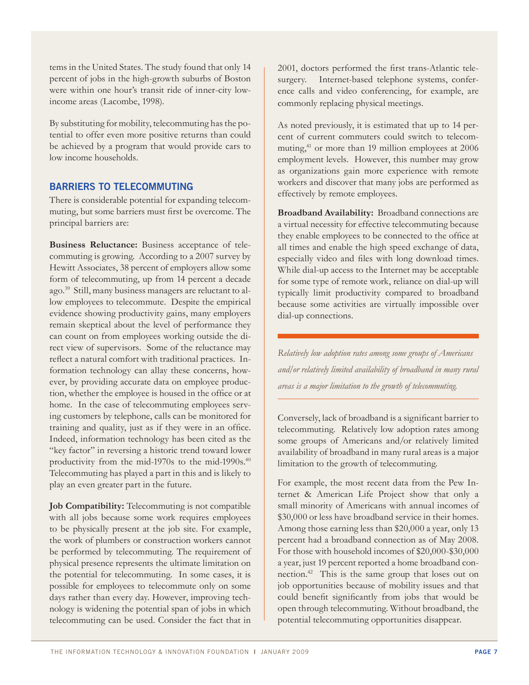tems in the United States. The study found that only 14 percent of jobs in the high-growth suburbs of Boston were within one hour's transit ride of inner-city lowincome areas (Lacombe, 1998).

By substituting for mobility, telecommuting has the potential to offer even more positive returns than could be achieved by a program that would provide cars to low income households.

## **BARRIERS TO TELECOMMUTING**

There is considerable potential for expanding telecommuting, but some barriers must first be overcome. The principal barriers are:

**Business Reluctance:** Business acceptance of telecommuting is growing. According to a 2007 survey by Hewitt Associates, 38 percent of employers allow some form of telecommuting, up from 14 percent a decade ago.39 Still, many business managers are reluctant to allow employees to telecommute. Despite the empirical evidence showing productivity gains, many employers remain skeptical about the level of performance they can count on from employees working outside the direct view of supervisors. Some of the reluctance may reflect a natural comfort with traditional practices. Information technology can allay these concerns, however, by providing accurate data on employee production, whether the employee is housed in the office or at home. In the case of telecommuting employees serving customers by telephone, calls can be monitored for training and quality, just as if they were in an office. Indeed, information technology has been cited as the "key factor" in reversing a historic trend toward lower productivity from the mid-1970s to the mid-1990s.<sup>40</sup> Telecommuting has played a part in this and is likely to play an even greater part in the future.

**Job Compatibility:** Telecommuting is not compatible with all jobs because some work requires employees to be physically present at the job site. For example, the work of plumbers or construction workers cannot be performed by telecommuting. The requirement of physical presence represents the ultimate limitation on the potential for telecommuting. In some cases, it is possible for employees to telecommute only on some days rather than every day. However, improving technology is widening the potential span of jobs in which telecommuting can be used. Consider the fact that in

2001, doctors performed the first trans-Atlantic telesurgery. Internet-based telephone systems, conference calls and video conferencing, for example, are commonly replacing physical meetings.

As noted previously, it is estimated that up to 14 percent of current commuters could switch to telecommuting,<sup>41</sup> or more than 19 million employees at 2006 employment levels. However, this number may grow as organizations gain more experience with remote workers and discover that many jobs are performed as effectively by remote employees.

**Broadband Availability:** Broadband connections are a virtual necessity for effective telecommuting because they enable employees to be connected to the office at all times and enable the high speed exchange of data, especially video and files with long download times. While dial-up access to the Internet may be acceptable for some type of remote work, reliance on dial-up will typically limit productivity compared to broadband because some activities are virtually impossible over dial-up connections.

*Relatively low adoption rates among some groups of Americans and/or relatively limited availability of broadband in many rural areas is a major limitation to the growth of telecommuting.*

Conversely, lack of broadband is a significant barrier to telecommuting. Relatively low adoption rates among some groups of Americans and/or relatively limited availability of broadband in many rural areas is a major limitation to the growth of telecommuting.

For example, the most recent data from the Pew Internet & American Life Project show that only a small minority of Americans with annual incomes of \$30,000 or less have broadband service in their homes. Among those earning less than \$20,000 a year, only 13 percent had a broadband connection as of May 2008. For those with household incomes of \$20,000-\$30,000 a year, just 19 percent reported a home broadband connection.42 This is the same group that loses out on job opportunities because of mobility issues and that could benefit significantly from jobs that would be open through telecommuting. Without broadband, the potential telecommuting opportunities disappear.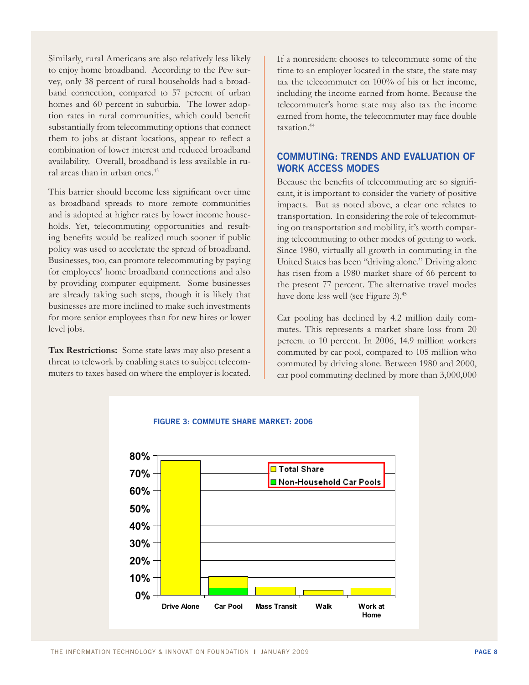Similarly, rural Americans are also relatively less likely to enjoy home broadband. According to the Pew survey, only 38 percent of rural households had a broadband connection, compared to 57 percent of urban homes and 60 percent in suburbia. The lower adoption rates in rural communities, which could benefit substantially from telecommuting options that connect them to jobs at distant locations, appear to reflect a combination of lower interest and reduced broadband availability. Overall, broadband is less available in rural areas than in urban ones.<sup>43</sup>

This barrier should become less significant over time as broadband spreads to more remote communities and is adopted at higher rates by lower income households. Yet, telecommuting opportunities and resulting benefits would be realized much sooner if public policy was used to accelerate the spread of broadband. Businesses, too, can promote telecommuting by paying for employees' home broadband connections and also by providing computer equipment. Some businesses are already taking such steps, though it is likely that businesses are more inclined to make such investments for more senior employees than for new hires or lower level jobs.

**Tax Restrictions:** Some state laws may also present a threat to telework by enabling states to subject telecommuters to taxes based on where the employer is located. If a nonresident chooses to telecommute some of the time to an employer located in the state, the state may tax the telecommuter on 100% of his or her income, including the income earned from home. Because the telecommuter's home state may also tax the income earned from home, the telecommuter may face double taxation.44

# **COMMUTING: TRENDS and evaluation of work access modes**

Because the benefits of telecommuting are so significant, it is important to consider the variety of positive impacts. But as noted above, a clear one relates to transportation. In considering the role of telecommuting on transportation and mobility, it's worth comparing telecommuting to other modes of getting to work. Since 1980, virtually all growth in commuting in the United States has been "driving alone." Driving alone has risen from a 1980 market share of 66 percent to the present 77 percent. The alternative travel modes have done less well (see Figure 3).<sup>45</sup>

Car pooling has declined by 4.2 million daily commutes. This represents a market share loss from 20 percent to 10 percent. In 2006, 14.9 million workers commuted by car pool, compared to 105 million who commuted by driving alone. Between 1980 and 2000, car pool commuting declined by more than 3,000,000



# COMMUTE CUARE MARKET 2006 <sup>2006</sup> **Figure 3: Commute Share Market: 2006**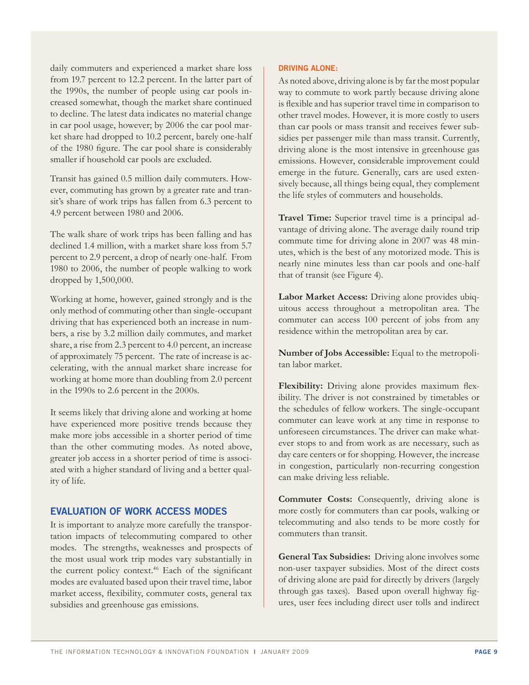daily commuters and experienced a market share loss from 19.7 percent to 12.2 percent. In the latter part of the 1990s, the number of people using car pools increased somewhat, though the market share continued to decline. The latest data indicates no material change in car pool usage, however; by 2006 the car pool market share had dropped to 10.2 percent, barely one-half of the 1980 figure. The car pool share is considerably smaller if household car pools are excluded.

Transit has gained 0.5 million daily commuters. However, commuting has grown by a greater rate and transit's share of work trips has fallen from 6.3 percent to 4.9 percent between 1980 and 2006.

The walk share of work trips has been falling and has declined 1.4 million, with a market share loss from 5.7 percent to 2.9 percent, a drop of nearly one-half. From 1980 to 2006, the number of people walking to work dropped by 1,500,000.

Working at home, however, gained strongly and is the only method of commuting other than single-occupant driving that has experienced both an increase in numbers, a rise by 3.2 million daily commutes, and market share, a rise from 2.3 percent to 4.0 percent, an increase of approximately 75 percent. The rate of increase is accelerating, with the annual market share increase for working at home more than doubling from 2.0 percent in the 1990s to 2.6 percent in the 2000s.

It seems likely that driving alone and working at home have experienced more positive trends because they make more jobs accessible in a shorter period of time than the other commuting modes. As noted above, greater job access in a shorter period of time is associated with a higher standard of living and a better quality of life.

### **EVALUATION OF WORK ACCESS MODES**

It is important to analyze more carefully the transportation impacts of telecommuting compared to other modes. The strengths, weaknesses and prospects of the most usual work trip modes vary substantially in the current policy context.<sup>46</sup> Each of the significant modes are evaluated based upon their travel time, labor market access, flexibility, commuter costs, general tax subsidies and greenhouse gas emissions.

#### **DRIVING ALONE:**

As noted above, driving alone is by far the most popular way to commute to work partly because driving alone is flexible and has superior travel time in comparison to other travel modes. However, it is more costly to users than car pools or mass transit and receives fewer subsidies per passenger mile than mass transit. Currently, driving alone is the most intensive in greenhouse gas emissions. However, considerable improvement could emerge in the future. Generally, cars are used extensively because, all things being equal, they complement the life styles of commuters and households.

**Travel Time:** Superior travel time is a principal advantage of driving alone. The average daily round trip commute time for driving alone in 2007 was 48 minutes, which is the best of any motorized mode. This is nearly nine minutes less than car pools and one-half that of transit (see Figure 4).

**Labor Market Access:** Driving alone provides ubiquitous access throughout a metropolitan area. The commuter can access 100 percent of jobs from any residence within the metropolitan area by car.

**Number of Jobs Accessible:** Equal to the metropolitan labor market.

**Flexibility:** Driving alone provides maximum flexibility. The driver is not constrained by timetables or the schedules of fellow workers. The single-occupant commuter can leave work at any time in response to unforeseen circumstances. The driver can make whatever stops to and from work as are necessary, such as day care centers or for shopping. However, the increase in congestion, particularly non-recurring congestion can make driving less reliable.

**Commuter Costs:** Consequently, driving alone is more costly for commuters than car pools, walking or telecommuting and also tends to be more costly for commuters than transit.

**General Tax Subsidies:** Driving alone involves some non-user taxpayer subsidies. Most of the direct costs of driving alone are paid for directly by drivers (largely through gas taxes). Based upon overall highway figures, user fees including direct user tolls and indirect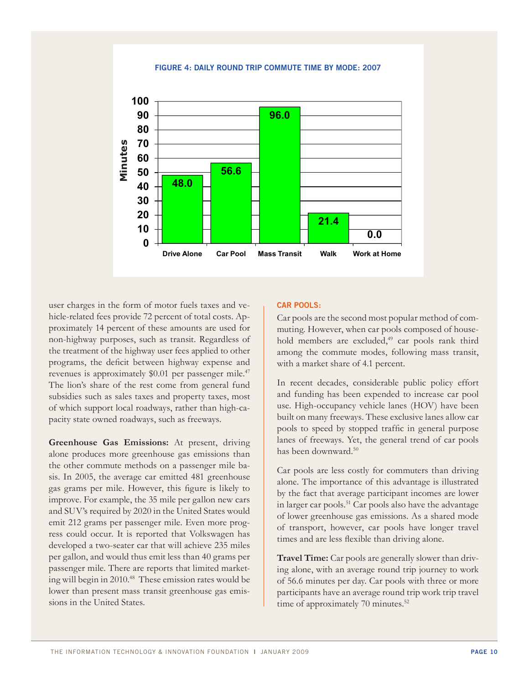Daily Commute Time by Mode **Figure 4: Daily Round Trip Commute Time by Mode: 2007**



user charges in the form of motor fuels taxes and vehicle-related fees provide 72 percent of total costs. Approximately 14 percent of these amounts are used for non-highway purposes, such as transit. Regardless of the treatment of the highway user fees applied to other programs, the deficit between highway expense and revenues is approximately \$0.01 per passenger mile.<sup>47</sup> The lion's share of the rest come from general fund subsidies such as sales taxes and property taxes, most of which support local roadways, rather than high-capacity state owned roadways, such as freeways.

**Greenhouse Gas Emissions:** At present, driving alone produces more greenhouse gas emissions than the other commute methods on a passenger mile basis. In 2005, the average car emitted 481 greenhouse gas grams per mile. However, this figure is likely to improve. For example, the 35 mile per gallon new cars and SUV's required by 2020 in the United States would emit 212 grams per passenger mile. Even more progress could occur. It is reported that Volkswagen has developed a two-seater car that will achieve 235 miles per gallon, and would thus emit less than 40 grams per passenger mile. There are reports that limited marketing will begin in 2010.<sup>48</sup> These emission rates would be lower than present mass transit greenhouse gas emissions in the United States.

#### **CAR POOLS:**

Car pools are the second most popular method of commuting. However, when car pools composed of household members are excluded,<sup>49</sup> car pools rank third among the commute modes, following mass transit, with a market share of 4.1 percent.

In recent decades, considerable public policy effort and funding has been expended to increase car pool use. High-occupancy vehicle lanes (HOV) have been built on many freeways. These exclusive lanes allow car pools to speed by stopped traffic in general purpose lanes of freeways. Yet, the general trend of car pools has been downward.50

Car pools are less costly for commuters than driving alone. The importance of this advantage is illustrated by the fact that average participant incomes are lower in larger car pools.51 Car pools also have the advantage of lower greenhouse gas emissions. As a shared mode of transport, however, car pools have longer travel times and are less flexible than driving alone.

**Travel Time:** Car pools are generally slower than driving alone, with an average round trip journey to work of 56.6 minutes per day. Car pools with three or more participants have an average round trip work trip travel time of approximately 70 minutes.<sup>52</sup>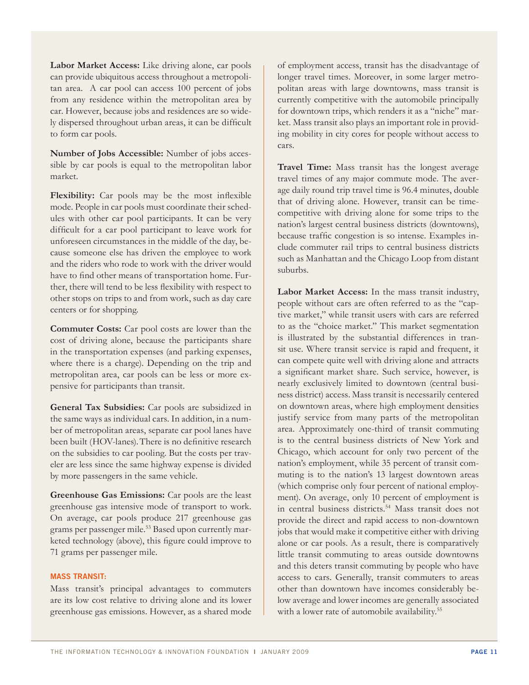**Labor Market Access:** Like driving alone, car pools can provide ubiquitous access throughout a metropolitan area. A car pool can access 100 percent of jobs from any residence within the metropolitan area by car. However, because jobs and residences are so widely dispersed throughout urban areas, it can be difficult to form car pools.

**Number of Jobs Accessible:** Number of jobs accessible by car pools is equal to the metropolitan labor market.

**Flexibility:** Car pools may be the most inflexible mode. People in car pools must coordinate their schedules with other car pool participants. It can be very difficult for a car pool participant to leave work for unforeseen circumstances in the middle of the day, because someone else has driven the employee to work and the riders who rode to work with the driver would have to find other means of transportation home. Further, there will tend to be less flexibility with respect to other stops on trips to and from work, such as day care centers or for shopping.

**Commuter Costs:** Car pool costs are lower than the cost of driving alone, because the participants share in the transportation expenses (and parking expenses, where there is a charge). Depending on the trip and metropolitan area, car pools can be less or more expensive for participants than transit.

**General Tax Subsidies:** Car pools are subsidized in the same ways as individual cars. In addition, in a number of metropolitan areas, separate car pool lanes have been built (HOV-lanes).There is no definitive research on the subsidies to car pooling. But the costs per traveler are less since the same highway expense is divided by more passengers in the same vehicle.

**Greenhouse Gas Emissions:** Car pools are the least greenhouse gas intensive mode of transport to work. On average, car pools produce 217 greenhouse gas grams per passenger mile.<sup>53</sup> Based upon currently marketed technology (above), this figure could improve to 71 grams per passenger mile.

#### **MASS TRANSIT:**

Mass transit's principal advantages to commuters are its low cost relative to driving alone and its lower greenhouse gas emissions. However, as a shared mode

of employment access, transit has the disadvantage of longer travel times. Moreover, in some larger metropolitan areas with large downtowns, mass transit is currently competitive with the automobile principally for downtown trips, which renders it as a "niche" market. Mass transit also plays an important role in providing mobility in city cores for people without access to cars.

**Travel Time:** Mass transit has the longest average travel times of any major commute mode. The average daily round trip travel time is 96.4 minutes, double that of driving alone. However, transit can be timecompetitive with driving alone for some trips to the nation's largest central business districts (downtowns), because traffic congestion is so intense. Examples include commuter rail trips to central business districts such as Manhattan and the Chicago Loop from distant suburbs.

**Labor Market Access:** In the mass transit industry, people without cars are often referred to as the "captive market," while transit users with cars are referred to as the "choice market." This market segmentation is illustrated by the substantial differences in transit use. Where transit service is rapid and frequent, it can compete quite well with driving alone and attracts a significant market share. Such service, however, is nearly exclusively limited to downtown (central business district) access. Mass transit is necessarily centered on downtown areas, where high employment densities justify service from many parts of the metropolitan area. Approximately one-third of transit commuting is to the central business districts of New York and Chicago, which account for only two percent of the nation's employment, while 35 percent of transit commuting is to the nation's 13 largest downtown areas (which comprise only four percent of national employment). On average, only 10 percent of employment is in central business districts.54 Mass transit does not provide the direct and rapid access to non-downtown jobs that would make it competitive either with driving alone or car pools. As a result, there is comparatively little transit commuting to areas outside downtowns and this deters transit commuting by people who have access to cars. Generally, transit commuters to areas other than downtown have incomes considerably below average and lower incomes are generally associated with a lower rate of automobile availability.<sup>55</sup>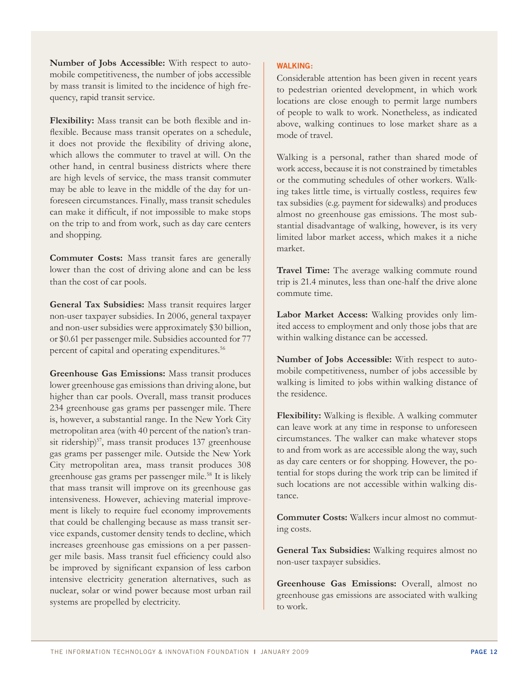**Number of Jobs Accessible:** With respect to automobile competitiveness, the number of jobs accessible by mass transit is limited to the incidence of high frequency, rapid transit service.

**Flexibility:** Mass transit can be both flexible and inflexible. Because mass transit operates on a schedule, it does not provide the flexibility of driving alone, which allows the commuter to travel at will. On the other hand, in central business districts where there are high levels of service, the mass transit commuter may be able to leave in the middle of the day for unforeseen circumstances. Finally, mass transit schedules can make it difficult, if not impossible to make stops on the trip to and from work, such as day care centers and shopping.

**Commuter Costs:** Mass transit fares are generally lower than the cost of driving alone and can be less than the cost of car pools.

**General Tax Subsidies:** Mass transit requires larger non-user taxpayer subsidies. In 2006, general taxpayer and non-user subsidies were approximately \$30 billion, or \$0.61 per passenger mile. Subsidies accounted for 77 percent of capital and operating expenditures.<sup>56</sup>

**Greenhouse Gas Emissions:** Mass transit produces lower greenhouse gas emissions than driving alone, but higher than car pools. Overall, mass transit produces 234 greenhouse gas grams per passenger mile. There is, however, a substantial range. In the New York City metropolitan area (with 40 percent of the nation's transit ridership)<sup>57</sup>, mass transit produces 137 greenhouse gas grams per passenger mile. Outside the New York City metropolitan area, mass transit produces 308 greenhouse gas grams per passenger mile.<sup>58</sup> It is likely that mass transit will improve on its greenhouse gas intensiveness. However, achieving material improvement is likely to require fuel economy improvements that could be challenging because as mass transit service expands, customer density tends to decline, which increases greenhouse gas emissions on a per passenger mile basis. Mass transit fuel efficiency could also be improved by significant expansion of less carbon intensive electricity generation alternatives, such as nuclear, solar or wind power because most urban rail systems are propelled by electricity.

#### **WALKING:**

Considerable attention has been given in recent years to pedestrian oriented development, in which work locations are close enough to permit large numbers of people to walk to work. Nonetheless, as indicated above, walking continues to lose market share as a mode of travel.

Walking is a personal, rather than shared mode of work access, because it is not constrained by timetables or the commuting schedules of other workers. Walking takes little time, is virtually costless, requires few tax subsidies (e.g. payment for sidewalks) and produces almost no greenhouse gas emissions. The most substantial disadvantage of walking, however, is its very limited labor market access, which makes it a niche market.

**Travel Time:** The average walking commute round trip is 21.4 minutes, less than one-half the drive alone commute time.

**Labor Market Access:** Walking provides only limited access to employment and only those jobs that are within walking distance can be accessed.

**Number of Jobs Accessible:** With respect to automobile competitiveness, number of jobs accessible by walking is limited to jobs within walking distance of the residence.

**Flexibility:** Walking is flexible. A walking commuter can leave work at any time in response to unforeseen circumstances. The walker can make whatever stops to and from work as are accessible along the way, such as day care centers or for shopping. However, the potential for stops during the work trip can be limited if such locations are not accessible within walking distance.

**Commuter Costs:** Walkers incur almost no commuting costs.

**General Tax Subsidies:** Walking requires almost no non-user taxpayer subsidies.

**Greenhouse Gas Emissions:** Overall, almost no greenhouse gas emissions are associated with walking to work.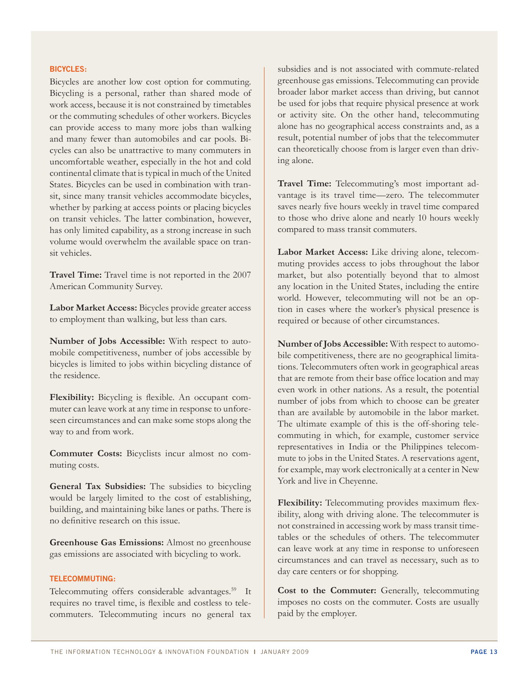#### **BICYCLES:**

Bicycles are another low cost option for commuting. Bicycling is a personal, rather than shared mode of work access, because it is not constrained by timetables or the commuting schedules of other workers. Bicycles can provide access to many more jobs than walking and many fewer than automobiles and car pools. Bicycles can also be unattractive to many commuters in uncomfortable weather, especially in the hot and cold continental climate that is typical in much of the United States. Bicycles can be used in combination with transit, since many transit vehicles accommodate bicycles, whether by parking at access points or placing bicycles on transit vehicles. The latter combination, however, has only limited capability, as a strong increase in such volume would overwhelm the available space on transit vehicles.

**Travel Time:** Travel time is not reported in the 2007 American Community Survey.

**Labor Market Access:** Bicycles provide greater access to employment than walking, but less than cars.

**Number of Jobs Accessible:** With respect to automobile competitiveness, number of jobs accessible by bicycles is limited to jobs within bicycling distance of the residence.

**Flexibility:** Bicycling is flexible. An occupant commuter can leave work at any time in response to unforeseen circumstances and can make some stops along the way to and from work.

**Commuter Costs:** Bicyclists incur almost no commuting costs.

**General Tax Subsidies:** The subsidies to bicycling would be largely limited to the cost of establishing, building, and maintaining bike lanes or paths. There is no definitive research on this issue.

**Greenhouse Gas Emissions:** Almost no greenhouse gas emissions are associated with bicycling to work.

#### **TELECOMMUTING:**

Telecommuting offers considerable advantages.<sup>59</sup> It requires no travel time, is flexible and costless to telecommuters. Telecommuting incurs no general tax

subsidies and is not associated with commute-related greenhouse gas emissions. Telecommuting can provide broader labor market access than driving, but cannot be used for jobs that require physical presence at work or activity site. On the other hand, telecommuting alone has no geographical access constraints and, as a result, potential number of jobs that the telecommuter can theoretically choose from is larger even than driving alone.

**Travel Time:** Telecommuting's most important advantage is its travel time—zero. The telecommuter saves nearly five hours weekly in travel time compared to those who drive alone and nearly 10 hours weekly compared to mass transit commuters.

**Labor Market Access:** Like driving alone, telecommuting provides access to jobs throughout the labor market, but also potentially beyond that to almost any location in the United States, including the entire world. However, telecommuting will not be an option in cases where the worker's physical presence is required or because of other circumstances.

**Number of Jobs Accessible:** With respect to automobile competitiveness, there are no geographical limitations. Telecommuters often work in geographical areas that are remote from their base office location and may even work in other nations. As a result, the potential number of jobs from which to choose can be greater than are available by automobile in the labor market. The ultimate example of this is the off-shoring telecommuting in which, for example, customer service representatives in India or the Philippines telecommute to jobs in the United States. A reservations agent, for example, may work electronically at a center in New York and live in Cheyenne.

**Flexibility:** Telecommuting provides maximum flexibility, along with driving alone. The telecommuter is not constrained in accessing work by mass transit timetables or the schedules of others. The telecommuter can leave work at any time in response to unforeseen circumstances and can travel as necessary, such as to day care centers or for shopping.

**Cost to the Commuter:** Generally, telecommuting imposes no costs on the commuter. Costs are usually paid by the employer.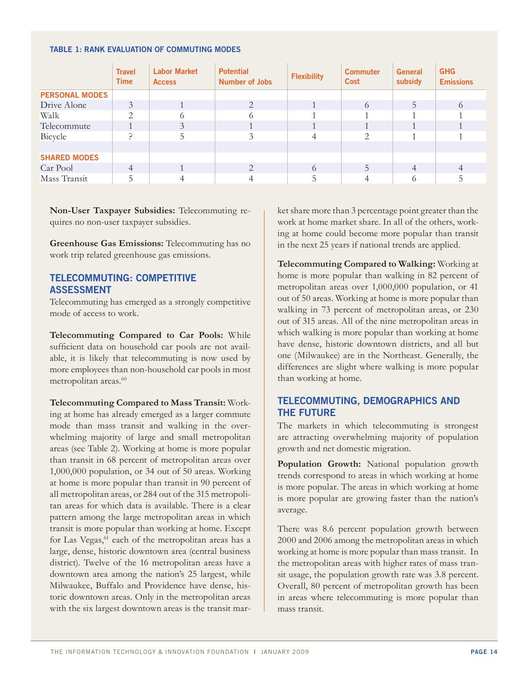#### **Table 1: Rank Evaluation of Commuting Modes**

|                       | <b>Travel</b><br><b>Time</b> | <b>Labor Market</b><br><b>Access</b> | <b>Potential</b><br><b>Number of Jobs</b> | <b>Flexibility</b> | <b>Commuter</b><br>Cost | <b>General</b><br>subsidy | <b>GHG</b><br><b>Emissions</b> |
|-----------------------|------------------------------|--------------------------------------|-------------------------------------------|--------------------|-------------------------|---------------------------|--------------------------------|
| <b>PERSONAL MODES</b> |                              |                                      |                                           |                    |                         |                           |                                |
| Drive Alone           | 3                            |                                      | $\mathcal{D}_{\cdot}$                     |                    | 6                       | 5                         | 6                              |
| Walk                  | $\mathcal{L}$                |                                      |                                           |                    |                         |                           |                                |
| Telecommute           |                              | 3                                    |                                           |                    |                         |                           |                                |
| Bicycle               |                              | 5.                                   |                                           |                    | 2                       |                           |                                |
|                       |                              |                                      |                                           |                    |                         |                           |                                |
| <b>SHARED MODES</b>   |                              |                                      |                                           |                    |                         |                           |                                |
| Car Pool              | $\overline{4}$               |                                      | $\mathcal{D}$                             | 6                  | 5                       | 4                         |                                |
| Mass Transit          |                              |                                      |                                           |                    | 4                       | 6                         |                                |

**Non-User Taxpayer Subsidies:** Telecommuting requires no non-user taxpayer subsidies.

**Greenhouse Gas Emissions:** Telecommuting has no work trip related greenhouse gas emissions.

## **TELECOMMUTING: COMPETITIVE ASSESSMENT**

Telecommuting has emerged as a strongly competitive mode of access to work.

**Telecommuting Compared to Car Pools:** While sufficient data on household car pools are not available, it is likely that telecommuting is now used by more employees than non-household car pools in most metropolitan areas.<sup>60</sup>

**Telecommuting Compared to Mass Transit:** Working at home has already emerged as a larger commute mode than mass transit and walking in the overwhelming majority of large and small metropolitan areas (see Table 2). Working at home is more popular than transit in 68 percent of metropolitan areas over 1,000,000 population, or 34 out of 50 areas. Working at home is more popular than transit in 90 percent of all metropolitan areas, or 284 out of the 315 metropolitan areas for which data is available. There is a clear pattern among the large metropolitan areas in which transit is more popular than working at home. Except for Las Vegas,  $61$  each of the metropolitan areas has a large, dense, historic downtown area (central business district). Twelve of the 16 metropolitan areas have a downtown area among the nation's 25 largest, while Milwaukee, Buffalo and Providence have dense, historic downtown areas. Only in the metropolitan areas with the six largest downtown areas is the transit market share more than 3 percentage point greater than the work at home market share. In all of the others, working at home could become more popular than transit in the next 25 years if national trends are applied.

**Telecommuting Compared to Walking:** Working at home is more popular than walking in 82 percent of metropolitan areas over 1,000,000 population, or 41 out of 50 areas. Working at home is more popular than walking in 73 percent of metropolitan areas, or 230 out of 315 areas. All of the nine metropolitan areas in which walking is more popular than working at home have dense, historic downtown districts, and all but one (Milwaukee) are in the Northeast. Generally, the differences are slight where walking is more popular than working at home.

# **TELECOMMUTING, DEMOGRAPHICS AND THE FUTURE**

The markets in which telecommuting is strongest are attracting overwhelming majority of population growth and net domestic migration.

**Population Growth:** National population growth trends correspond to areas in which working at home is more popular. The areas in which working at home is more popular are growing faster than the nation's average.

There was 8.6 percent population growth between 2000 and 2006 among the metropolitan areas in which working at home is more popular than mass transit. In the metropolitan areas with higher rates of mass transit usage, the population growth rate was 3.8 percent. Overall, 80 percent of metropolitan growth has been in areas where telecommuting is more popular than mass transit.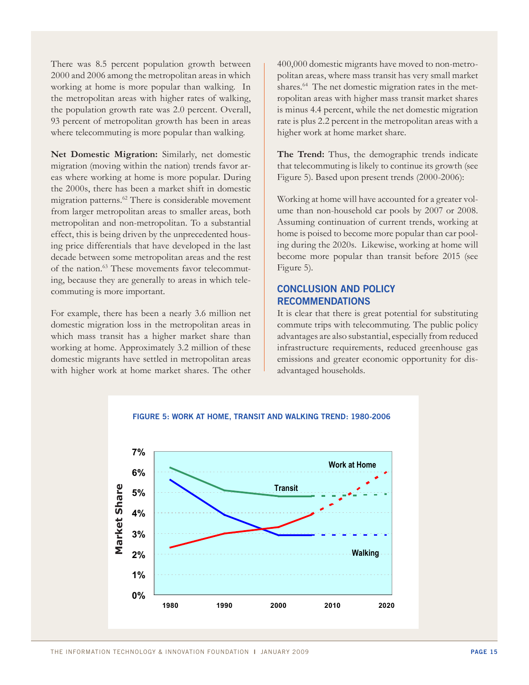There was 8.5 percent population growth between 2000 and 2006 among the metropolitan areas in which working at home is more popular than walking. In the metropolitan areas with higher rates of walking, the population growth rate was 2.0 percent. Overall, 93 percent of metropolitan growth has been in areas where telecommuting is more popular than walking.

**Net Domestic Migration:** Similarly, net domestic migration (moving within the nation) trends favor areas where working at home is more popular. During the 2000s, there has been a market shift in domestic migration patterns.62 There is considerable movement from larger metropolitan areas to smaller areas, both metropolitan and non-metropolitan. To a substantial effect, this is being driven by the unprecedented housing price differentials that have developed in the last decade between some metropolitan areas and the rest of the nation.63 These movements favor telecommuting, because they are generally to areas in which telecommuting is more important.

For example, there has been a nearly 3.6 million net domestic migration loss in the metropolitan areas in which mass transit has a higher market share than working at home. Approximately 3.2 million of these domestic migrants have settled in metropolitan areas with higher work at home market shares. The other 400,000 domestic migrants have moved to non-metropolitan areas, where mass transit has very small market shares.<sup>64</sup> The net domestic migration rates in the metropolitan areas with higher mass transit market shares is minus 4.4 percent, while the net domestic migration rate is plus 2.2 percent in the metropolitan areas with a higher work at home market share.

**The Trend:** Thus, the demographic trends indicate that telecommuting is likely to continue its growth (see Figure 5). Based upon present trends (2000-2006):

Working at home will have accounted for a greater volume than non-household car pools by 2007 or 2008. Assuming continuation of current trends, working at home is poised to become more popular than car pooling during the 2020s. Likewise, working at home will become more popular than transit before 2015 (see Figure 5).

# **CONCLUSION and policy recommendations**

It is clear that there is great potential for substituting commute trips with telecommuting. The public policy advantages are also substantial, especially from reduced infrastructure requirements, reduced greenhouse gas emissions and greater economic opportunity for disadvantaged households.



# **FIGURE 5: WORK AT HOME, TRANSIT AND WALKING TREND: 1980-2006**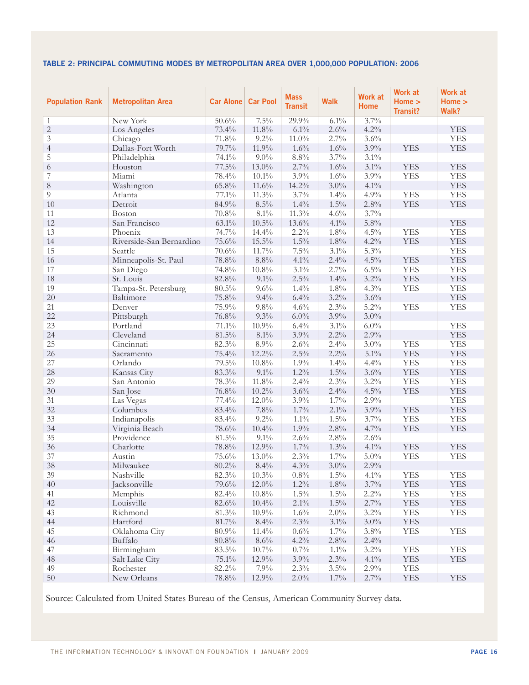# **Table 2: Principal Commuting Modes by Metropolitan Area over 1,000,000 Population: 2006**

| <b>Population Rank</b> | <b>Metropolitan Area</b> | <b>Car Alone Car Pool</b> |          | <b>Mass</b><br><b>Transit</b> | <b>Walk</b> | <b>Work at</b><br><b>Home</b> | <b>Work at</b><br>Home ><br><b>Transit?</b> | <b>Work at</b><br>Home $>$<br>Walk? |
|------------------------|--------------------------|---------------------------|----------|-------------------------------|-------------|-------------------------------|---------------------------------------------|-------------------------------------|
| 1                      | New York                 | 50.6%                     | $7.5\%$  | 29.9%                         | $6.1\%$     | 3.7%                          |                                             |                                     |
| $\overline{c}$         | Los Angeles              | 73.4%                     | $11.8\%$ | 6.1%                          | 2.6%        | 4.2%                          |                                             | <b>YES</b>                          |
| $\mathfrak{Z}$         | Chicago                  | 71.8%                     | $9.2\%$  | $11.0\%$                      | 2.7%        | 3.6%                          |                                             | <b>YES</b>                          |
| $\overline{4}$         | Dallas-Fort Worth        | 79.7%                     | 11.9%    | 1.6%                          | 1.6%        | 3.9%                          | <b>YES</b>                                  | <b>YES</b>                          |
| 5                      | Philadelphia             | 74.1%                     | $9.0\%$  | $8.8\%$                       | $3.7\%$     | $3.1\%$                       |                                             |                                     |
| 6                      | Houston                  | $77.5\%$                  | $13.0\%$ | 2.7%                          | $1.6\%$     | $3.1\%$                       | <b>YES</b>                                  | <b>YES</b>                          |
| $\overline{7}$         | Miami                    | 78.4%                     | $10.1\%$ | 3.9%                          | 1.6%        | 3.9%                          | <b>YES</b>                                  | <b>YES</b>                          |
| $8\,$                  | Washington               | 65.8%                     | 11.6%    | 14.2%                         | $3.0\%$     | $4.1\%$                       |                                             | <b>YES</b>                          |
| 9                      | Atlanta                  | 77.1%                     | 11.3%    | 3.7%                          | $1.4\%$     | 4.9%                          | <b>YES</b>                                  | <b>YES</b>                          |
| 10                     | Detroit                  | 84.9%                     | $8.5\%$  | 1.4%                          | $1.5\%$     | $2.8\%$                       | <b>YES</b>                                  | <b>YES</b>                          |
| 11                     | <b>Boston</b>            | 70.8%                     | 8.1%     | $11.3\%$                      | 4.6%        | $3.7\%$                       |                                             |                                     |
| 12                     | San Francisco            | $63.1\%$                  | $10.5\%$ | 13.6%                         | $4.1\%$     | 5.8%                          |                                             | <b>YES</b>                          |
| 13                     | Phoenix                  | 74.7%                     | 14.4%    | 2.2%                          | $1.8\%$     | 4.5%                          | <b>YES</b>                                  | <b>YES</b>                          |
| 14                     | Riverside-San Bernardino | 75.6%                     | $15.5\%$ | $1.5\%$                       | $1.8\%$     | 4.2%                          | <b>YES</b>                                  | <b>YES</b>                          |
| 15                     | Seattle                  | 70.6%                     | 11.7%    | $7.5\%$                       | $3.1\%$     | 5.3%                          |                                             | <b>YES</b>                          |
| 16                     | Minneapolis-St. Paul     | 78.8%                     | $8.8\%$  | $4.1\%$                       | 2.4%        | $4.5\%$                       | <b>YES</b>                                  | <b>YES</b>                          |
| 17                     | San Diego                | 74.8%                     | $10.8\%$ | 3.1%                          | 2.7%        | $6.5\%$                       | <b>YES</b>                                  | <b>YES</b>                          |
| 18                     | St. Louis                | 82.8%                     | $9.1\%$  | $2.5\%$                       | $1.4\%$     | $3.2\%$                       | <b>YES</b>                                  | <b>YES</b>                          |
| 19                     | Tampa-St. Petersburg     | 80.5%                     | 9.6%     | 1.4%                          | $1.8\%$     | 4.3%                          | <b>YES</b>                                  | <b>YES</b>                          |
| 20                     | Baltimore                | 75.8%                     | 9.4%     | 6.4%                          | $3.2\%$     | 3.6%                          |                                             | <b>YES</b>                          |
| 21                     | Denver                   | 75.9%                     | $9.8\%$  | 4.6%                          | $2.3\%$     | $5.2\%$                       | <b>YES</b>                                  | <b>YES</b>                          |
| 22                     | Pittsburgh               | 76.8%                     | 9.3%     | $6.0\%$                       | 3.9%        | $3.0\%$                       |                                             |                                     |
| 23                     | Portland                 | 71.1%                     | $10.9\%$ | 6.4%                          | $3.1\%$     | $6.0\%$                       |                                             | <b>YES</b>                          |
| 24                     | Cleveland                | $81.5\%$                  | 8.1%     | 3.9%                          | 2.2%        | 2.9%                          |                                             | <b>YES</b>                          |
| 25                     | Cincinnati               | 82.3%                     | 8.9%     | $2.6\%$                       | 2.4%        | $3.0\%$                       | <b>YES</b>                                  | <b>YES</b>                          |
| 26                     | Sacramento               | 75.4%                     | $12.2\%$ | $2.5\%$                       | $2.2\%$     | $5.1\%$                       | <b>YES</b>                                  | <b>YES</b>                          |
| 27                     | Orlando                  | 79.5%                     | $10.8\%$ | $1.9\%$                       | $1.4\%$     | 4.4%                          | <b>YES</b>                                  | <b>YES</b>                          |
| 28                     | Kansas City              | 83.3%                     | $9.1\%$  | $1.2\%$                       | $1.5\%$     | 3.6%                          | <b>YES</b>                                  | <b>YES</b>                          |
| 29                     | San Antonio              | 78.3%                     | $11.8\%$ | 2.4%                          | 2.3%        | $3.2\%$                       | <b>YES</b>                                  | <b>YES</b>                          |
| 30                     | San Jose                 | 76.8%                     | $10.2\%$ | 3.6%                          | 2.4%        | 4.5%                          | <b>YES</b>                                  | <b>YES</b>                          |
| 31                     | Las Vegas                | 77.4%                     | $12.0\%$ | $3.9\%$                       | $1.7\%$     | 2.9%                          |                                             | <b>YES</b>                          |
| 32                     | Columbus                 | 83.4%                     | 7.8%     | $1.7\%$                       | 2.1%        | 3.9%                          | <b>YES</b>                                  | <b>YES</b>                          |
| 33                     | Indianapolis             | 83.4%                     | $9.2\%$  | $1.1\%$                       | $1.5\%$     | 3.7%                          | <b>YES</b>                                  | <b>YES</b>                          |
| 34                     | Virginia Beach           | 78.6%                     | 10.4%    | 1.9%                          | 2.8%        | 4.7%                          | <b>YES</b>                                  | <b>YES</b>                          |
| 35                     | Providence               | 81.5%                     | $9.1\%$  | $2.6\%$                       | $2.8\%$     | 2.6%                          |                                             |                                     |
| 36                     | Charlotte                | 78.8%                     | 12.9%    | $1.7\%$                       | 1.3%        | $4.1\%$                       | <b>YES</b>                                  | <b>YES</b>                          |
| 37                     | Austin                   | 75.6%                     | $13.0\%$ | 2.3%                          | $1.7\%$     | $5.0\%$                       | <b>YES</b>                                  | <b>YES</b>                          |
| 38                     | Milwaukee                | 80.2%                     | 8.4%     | 4.3%                          | $3.0\%$     | 2.9%                          |                                             |                                     |
| 39                     | Nashville                | 82.3%                     | 10.3%    | $0.8\%$                       | $1.5\%$     | $4.1\%$                       | YES                                         | YES                                 |
| 40                     | Jacksonville             | 79.6%                     | $12.0\%$ | $1.2\%$                       | $1.8\%$     | $3.7\%$                       | <b>YES</b>                                  | <b>YES</b>                          |
| 41                     | Memphis                  | 82.4%                     | $10.8\%$ | $1.5\%$                       | $1.5\%$     | $2.2\%$                       | <b>YES</b>                                  | <b>YES</b>                          |
| 42                     | Louisville               | 82.6%                     | 10.4%    | 2.1%                          | $1.5\%$     | 2.7%                          | <b>YES</b>                                  | <b>YES</b>                          |
| 43                     | Richmond                 | 81.3%                     | $10.9\%$ | 1.6%                          | 2.0%        | $3.2\%$                       | <b>YES</b>                                  | <b>YES</b>                          |
| 44                     | Hartford                 | 81.7%                     | 8.4%     | 2.3%                          | $3.1\%$     | $3.0\%$                       | <b>YES</b>                                  |                                     |
| 45                     | Oklahoma City            | $80.9\%$                  | 11.4%    | 0.6%                          | $1.7\%$     | $3.8\%$                       | <b>YES</b>                                  | <b>YES</b>                          |
| 46                     | Buffalo                  | $80.8\%$                  | $8.6\%$  | $4.2\%$                       | $2.8\%$     | 2.4%                          |                                             |                                     |
| 47                     | Birmingham               | 83.5%                     | $10.7\%$ | 0.7%                          | $1.1\%$     | $3.2\%$                       | <b>YES</b>                                  | <b>YES</b>                          |
| 48                     | Salt Lake City           | $75.1\%$                  | 12.9%    | $3.9\%$                       | $2.3\%$     | $4.1\%$                       | <b>YES</b>                                  | <b>YES</b>                          |
| 49                     | Rochester                | 82.2%                     | 7.9%     | 2.3%                          | $3.5\%$     | $2.9\%$                       | <b>YES</b>                                  |                                     |
| $50\,$                 | New Orleans              | $78.8\%$                  | 12.9%    | $2.0\%$                       | $1.7\%$     | $2.7\%$                       | <b>YES</b>                                  | <b>YES</b>                          |

Source: Calculated from United States Bureau of the Census, American Community Survey data.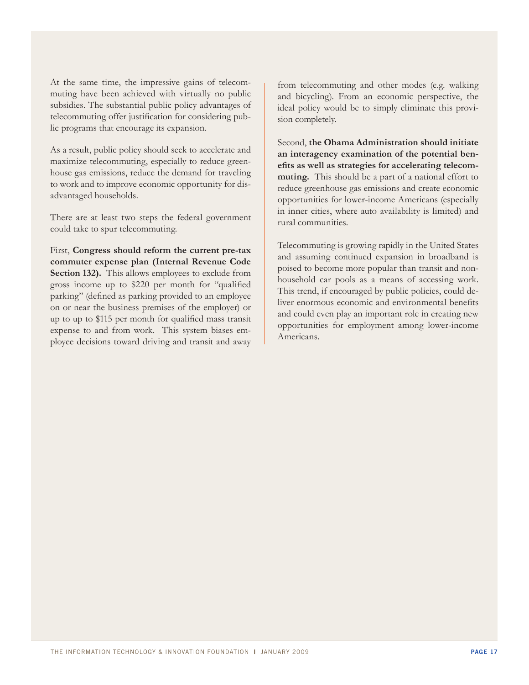At the same time, the impressive gains of telecommuting have been achieved with virtually no public subsidies. The substantial public policy advantages of telecommuting offer justification for considering public programs that encourage its expansion.

As a result, public policy should seek to accelerate and maximize telecommuting, especially to reduce greenhouse gas emissions, reduce the demand for traveling to work and to improve economic opportunity for disadvantaged households.

There are at least two steps the federal government could take to spur telecommuting.

First, **Congress should reform the current pre-tax commuter expense plan (Internal Revenue Code Section 132).** This allows employees to exclude from gross income up to \$220 per month for "qualified parking" (defined as parking provided to an employee on or near the business premises of the employer) or up to up to \$115 per month for qualified mass transit expense to and from work. This system biases employee decisions toward driving and transit and away from telecommuting and other modes (e.g. walking and bicycling). From an economic perspective, the ideal policy would be to simply eliminate this provision completely.

Second, **the Obama Administration should initiate an interagency examination of the potential benefits as well as strategies for accelerating telecommuting.** This should be a part of a national effort to reduce greenhouse gas emissions and create economic opportunities for lower-income Americans (especially in inner cities, where auto availability is limited) and rural communities.

Telecommuting is growing rapidly in the United States and assuming continued expansion in broadband is poised to become more popular than transit and nonhousehold car pools as a means of accessing work. This trend, if encouraged by public policies, could deliver enormous economic and environmental benefits and could even play an important role in creating new opportunities for employment among lower-income Americans.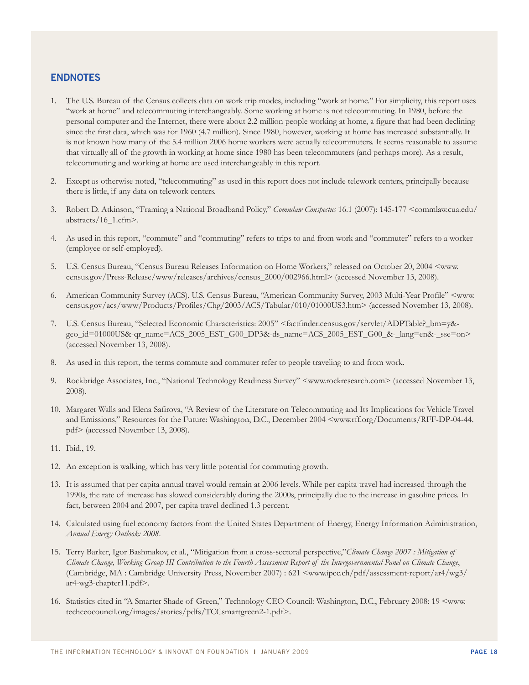## **Endnotes**

- 1. The U.S. Bureau of the Census collects data on work trip modes, including "work at home." For simplicity, this report uses "work at home" and telecommuting interchangeably. Some working at home is not telecommuting. In 1980, before the personal computer and the Internet, there were about 2.2 million people working at home, a figure that had been declining since the first data, which was for 1960 (4.7 million). Since 1980, however, working at home has increased substantially. It is not known how many of the 5.4 million 2006 home workers were actually telecommuters. It seems reasonable to assume that virtually all of the growth in working at home since 1980 has been telecommuters (and perhaps more). As a result, telecommuting and working at home are used interchangeably in this report.
- 2. Except as otherwise noted, "telecommuting" as used in this report does not include telework centers, principally because there is little, if any data on telework centers.
- 3. Robert D. Atkinson, "Framing a National Broadband Policy," *Commlaw Conspectus* 16.1 (2007): 145-177 <commlaw.cua.edu/ abstracts/16\_1.cfm>.
- 4. As used in this report, "commute" and "commuting" refers to trips to and from work and "commuter" refers to a worker (employee or self-employed).
- 5. U.S. Census Bureau, "Census Bureau Releases Information on Home Workers," released on October 20, 2004 <www. census.gov/Press-Release/www/releases/archives/census\_2000/002966.html> (accessed November 13, 2008).
- 6. American Community Survey (ACS), U.S. Census Bureau, "American Community Survey, 2003 Multi-Year Profile" <www. census.gov/acs/www/Products/Profiles/Chg/2003/ACS/Tabular/010/01000US3.htm> (accessed November 13, 2008).
- 7. U.S. Census Bureau, "Selected Economic Characteristics: 2005" <factfinder.census.gov/servlet/ADPTable?\_bm=y& geo\_id=01000US&-qr\_name=ACS\_2005\_EST\_G00\_DP3&-ds\_name=ACS\_2005\_EST\_G00\_&-\_lang=en&-\_sse=on> (accessed November 13, 2008).
- 8. As used in this report, the terms commute and commuter refer to people traveling to and from work.
- 9. Rockbridge Associates, Inc., "National Technology Readiness Survey" <www.rockresearch.com> (accessed November 13, 2008).
- 10. Margaret Walls and Elena Safirova, "A Review of the Literature on Telecommuting and Its Implications for Vehicle Travel and Emissions," Resources for the Future: Washington, D.C., December 2004 <www.rff.org/Documents/RFF-DP-04-44. pdf> (accessed November 13, 2008).
- 11. Ibid., 19.
- 12. An exception is walking, which has very little potential for commuting growth.
- 13. It is assumed that per capita annual travel would remain at 2006 levels. While per capita travel had increased through the 1990s, the rate of increase has slowed considerably during the 2000s, principally due to the increase in gasoline prices. In fact, between 2004 and 2007, per capita travel declined 1.3 percent.
- 14. Calculated using fuel economy factors from the United States Department of Energy, Energy Information Administration, *Annual Energy Outlook: 2008*.
- 15. Terry Barker, Igor Bashmakov, et al., "Mitigation from a cross-sectoral perspective,"*Climate Change 2007 : Mitigation of Climate Change, Working Group III Contribution to the Fourth Assessment Report of the Intergovernmental Panel on Climate Change*, (Cambridge, MA : Cambridge University Press, November 2007) : 621 <www.ipcc.ch/pdf/assessment-report/ar4/wg3/ ar4-wg3-chapter11.pdf>.
- 16. Statistics cited in "A Smarter Shade of Green," Technology CEO Council: Washington, D.C., February 2008: 19 <www. techceocouncil.org/images/stories/pdfs/TCCsmartgreen2-1.pdf>.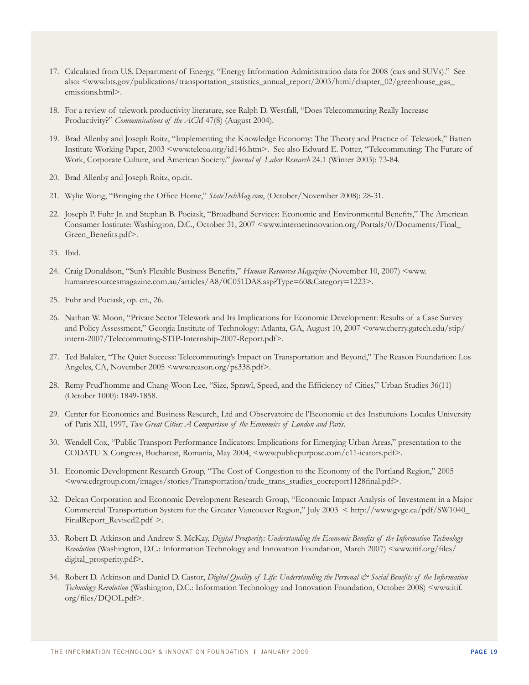- 17. Calculated from U.S. Department of Energy, "Energy Information Administration data for 2008 (cars and SUVs)." See also: <www.bts.gov/publications/transportation\_statistics\_annual\_report/2003/html/chapter\_02/greenhouse\_gas\_ emissions.html>.
- 18. For a review of telework productivity literature, see Ralph D. Westfall, "Does Telecommuting Really Increase Productivity?" *Communications of the ACM* 47(8) (August 2004).
- 19. Brad Allenby and Joseph Roitz, "Implementing the Knowledge Economy: The Theory and Practice of Telework," Batten Institute Working Paper, 2003 <www.telcoa.org/id146.htm>. See also Edward E. Potter, "Telecommuting: The Future of Work, Corporate Culture, and American Society." *Journal of Labor Research* 24.1 (Winter 2003): 73-84.
- 20. Brad Allenby and Joseph Roitz, op.cit.
- 21. Wylie Wong, "Bringing the Office Home," *StateTechMag.com*, (October/November 2008): 28-31.
- 22. Joseph P. Fuhr Jr. and Stephan B. Pociask, "Broadband Services: Economic and Environmental Benefits," The American Consumer Institute: Washington, D.C., October 31, 2007 <www.internetinnovation.org/Portals/0/Documents/Final\_ Green\_Benefits.pdf>.
- 23. Ibid.
- 24. Craig Donaldson, "Sun's Flexible Business Benefits," *Human Resources Magazine* (November 10, 2007) <www. humanresourcesmagazine.com.au/articles/A8/0C051DA8.asp?Type=60&Category=1223>.
- 25. Fuhr and Pociask, op. cit., 26.
- 26. Nathan W. Moon, "Private Sector Telework and Its Implications for Economic Development: Results of a Case Survey and Policy Assessment," Georgia Institute of Technology: Atlanta, GA, August 10, 2007 <www.cherry.gatech.edu/stip/ intern-2007/Telecommuting-STIP-Internship-2007-Report.pdf>.
- 27. Ted Balaker, "The Quiet Success: Telecommuting's Impact on Transportation and Beyond," The Reason Foundation: Los Angeles, CA, November 2005 <www.reason.org/ps338.pdf>.
- 28. Remy Prud'homme and Chang-Woon Lee, "Size, Sprawl, Speed, and the Efficiency of Cities," Urban Studies 36(11) (October 1000): 1849-1858.
- 29. Center for Economics and Business Research, Ltd and Observatoire de l'Economie et des Instiutuions Locales University of Paris XII, 1997, *Two Great Cities: A Comparison of the Economics of London and Paris*.
- 30. Wendell Cox, "Public Transport Performance Indicators: Implications for Emerging Urban Areas," presentation to the CODATU X Congress, Bucharest, Romania, May 2004, <www.publicpurpose.com/c11-icators.pdf>.
- 31. Economic Development Research Group, "The Cost of Congestion to the Economy of the Portland Region," 2005 <www.edrgroup.com/images/stories/Transportation/trade\_trans\_studies\_cocreport1128final.pdf>.
- 32. Delcan Corporation and Economic Development Research Group, "Economic Impact Analysis of Investment in a Major Commercial Transportation System for the Greater Vancouver Region," July 2003 < http://www.gvgc.ca/pdf/SW1040\_ FinalReport\_Revised2.pdf >.
- 33. Robert D. Atkinson and Andrew S. McKay, *Digital Prosperity: Understanding the Economic Benefits of the Information Technology Revolution* (Washington, D.C.: Information Technology and Innovation Foundation, March 2007) <www.itif.org/files/ digital\_prosperity.pdf>.
- 34. Robert D. Atkinson and Daniel D. Castor, *Digital Quality of Life: Understanding the Personal & Social Benefits of the Information Technology Revolution* (Washington, D.C.: Information Technology and Innovation Foundation, October 2008) <www.itif. org/files/DQOL.pdf>.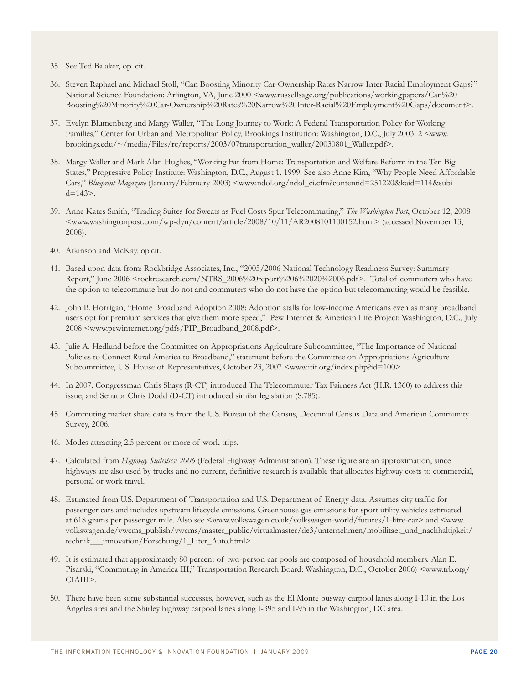35. See Ted Balaker, op. cit.

- 36. Steven Raphael and Michael Stoll, "Can Boosting Minority Car-Ownership Rates Narrow Inter-Racial Employment Gaps?" National Science Foundation: Arlington, VA, June 2000 <www.russellsage.org/publications/workingpapers/Can%20 Boosting%20Minority%20Car-Ownership%20Rates%20Narrow%20Inter-Racial%20Employment%20Gaps/document>.
- 37. Evelyn Blumenberg and Margy Waller, "The Long Journey to Work: A Federal Transportation Policy for Working Families," Center for Urban and Metropolitan Policy, Brookings Institution: Washington, D.C., July 2003: 2 <www. brookings.edu/~/media/Files/rc/reports/2003/07transportation\_waller/20030801\_Waller.pdf>.
- 38. Margy Waller and Mark Alan Hughes, "Working Far from Home: Transportation and Welfare Reform in the Ten Big States," Progressive Policy Institute: Washington, D.C., August 1, 1999. See also Anne Kim, "Why People Need Affordable Cars," *Blueprint Magazine* (January/February 2003) <www.ndol.org/ndol\_ci.cfm?contentid=251220&kaid=114&subi  $d=143$ .
- 39. Anne Kates Smith, "Trading Suites for Sweats as Fuel Costs Spur Telecommuting," *The Washington Post*, October 12, 2008 <www.washingtonpost.com/wp-dyn/content/article/2008/10/11/AR2008101100152.html> (accessed November 13, 2008).
- 40. Atkinson and McKay, op.cit.
- 41. Based upon data from: Rockbridge Associates, Inc., "2005/2006 National Technology Readiness Survey: Summary Report," June 2006 <rockresearch.com/NTRS\_2006%20report%206%2020%2006.pdf>. Total of commuters who have the option to telecommute but do not and commuters who do not have the option but telecommuting would be feasible.
- 42. John B. Horrigan, "Home Broadband Adoption 2008: Adoption stalls for low-income Americans even as many broadband users opt for premium services that give them more speed," Pew Internet & American Life Project: Washington, D.C., July 2008 <www.pewinternet.org/pdfs/PIP\_Broadband\_2008.pdf>.
- 43. Julie A. Hedlund before the Committee on Appropriations Agriculture Subcommittee, "The Importance of National Policies to Connect Rural America to Broadband," statement before the Committee on Appropriations Agriculture Subcommittee, U.S. House of Representatives, October 23, 2007 <www.itif.org/index.php?id=100>.
- 44. In 2007, Congressman Chris Shays (R-CT) introduced The Telecommuter Tax Fairness Act (H.R. 1360) to address this issue, and Senator Chris Dodd (D-CT) introduced similar legislation (S.785).
- 45. Commuting market share data is from the U.S. Bureau of the Census, Decennial Census Data and American Community Survey, 2006.
- 46. Modes attracting 2.5 percent or more of work trips.
- 47. Calculated from *Highway Statistics: 2006* (Federal Highway Administration). These figure are an approximation, since highways are also used by trucks and no current, definitive research is available that allocates highway costs to commercial, personal or work travel.
- 48. Estimated from U.S. Department of Transportation and U.S. Department of Energy data. Assumes city traffic for passenger cars and includes upstream lifecycle emissions. Greenhouse gas emissions for sport utility vehicles estimated at 618 grams per passenger mile. Also see <www.volkswagen.co.uk/volkswagen-world/futures/1-litre-car> and <www. volkswagen.de/vwcms\_publish/vwcms/master\_public/virtualmaster/de3/unternehmen/mobilitaet\_und\_nachhaltigkeit/ technik\_\_\_innovation/Forschung/1\_Liter\_Auto.html>.
- 49. It is estimated that approximately 80 percent of two-person car pools are composed of household members. Alan E. Pisarski, "Commuting in America III," Transportation Research Board: Washington, D.C., October 2006) <www.trb.org/ CIAIII>.
- 50. There have been some substantial successes, however, such as the El Monte busway-carpool lanes along I-10 in the Los Angeles area and the Shirley highway carpool lanes along I-395 and I-95 in the Washington, DC area.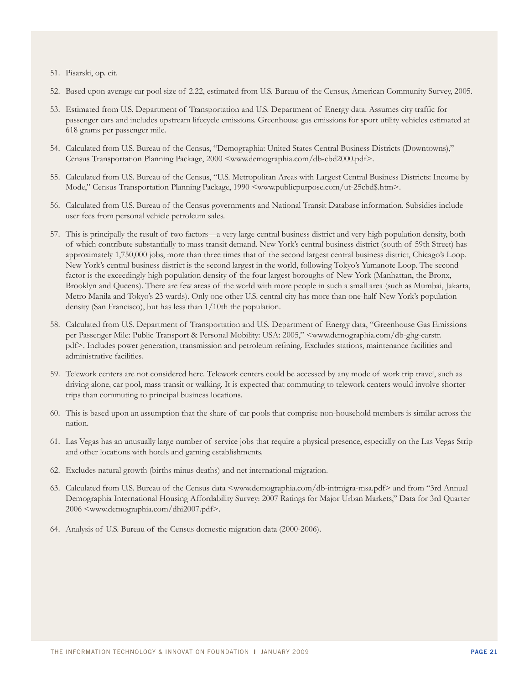- 51. Pisarski, op. cit.
- 52. Based upon average car pool size of 2.22, estimated from U.S. Bureau of the Census, American Community Survey, 2005.
- 53. Estimated from U.S. Department of Transportation and U.S. Department of Energy data. Assumes city traffic for passenger cars and includes upstream lifecycle emissions. Greenhouse gas emissions for sport utility vehicles estimated at 618 grams per passenger mile.
- 54. Calculated from U.S. Bureau of the Census, "Demographia: United States Central Business Districts (Downtowns)," Census Transportation Planning Package, 2000 <www.demographia.com/db-cbd2000.pdf>.
- 55. Calculated from U.S. Bureau of the Census, "U.S. Metropolitan Areas with Largest Central Business Districts: Income by Mode," Census Transportation Planning Package, 1990 <www.publicpurpose.com/ut-25cbd\$.htm>.
- 56. Calculated from U.S. Bureau of the Census governments and National Transit Database information. Subsidies include user fees from personal vehicle petroleum sales.
- 57. This is principally the result of two factors—a very large central business district and very high population density, both of which contribute substantially to mass transit demand. New York's central business district (south of 59th Street) has approximately 1,750,000 jobs, more than three times that of the second largest central business district, Chicago's Loop. New York's central business district is the second largest in the world, following Tokyo's Yamanote Loop. The second factor is the exceedingly high population density of the four largest boroughs of New York (Manhattan, the Bronx, Brooklyn and Queens). There are few areas of the world with more people in such a small area (such as Mumbai, Jakarta, Metro Manila and Tokyo's 23 wards). Only one other U.S. central city has more than one-half New York's population density (San Francisco), but has less than 1/10th the population.
- 58. Calculated from U.S. Department of Transportation and U.S. Department of Energy data, "Greenhouse Gas Emissions per Passenger Mile: Public Transport & Personal Mobility: USA: 2005," <www.demographia.com/db-ghg-carstr. pdf>. Includes power generation, transmission and petroleum refining. Excludes stations, maintenance facilities and administrative facilities.
- 59. Telework centers are not considered here. Telework centers could be accessed by any mode of work trip travel, such as driving alone, car pool, mass transit or walking. It is expected that commuting to telework centers would involve shorter trips than commuting to principal business locations.
- 60. This is based upon an assumption that the share of car pools that comprise non-household members is similar across the nation.
- 61. Las Vegas has an unusually large number of service jobs that require a physical presence, especially on the Las Vegas Strip and other locations with hotels and gaming establishments.
- 62. Excludes natural growth (births minus deaths) and net international migration.
- 63. Calculated from U.S. Bureau of the Census data <www.demographia.com/db-intmigra-msa.pdf> and from "3rd Annual Demographia International Housing Affordability Survey: 2007 Ratings for Major Urban Markets," Data for 3rd Quarter 2006 <www.demographia.com/dhi2007.pdf>.
- 64. Analysis of U.S. Bureau of the Census domestic migration data (2000-2006).